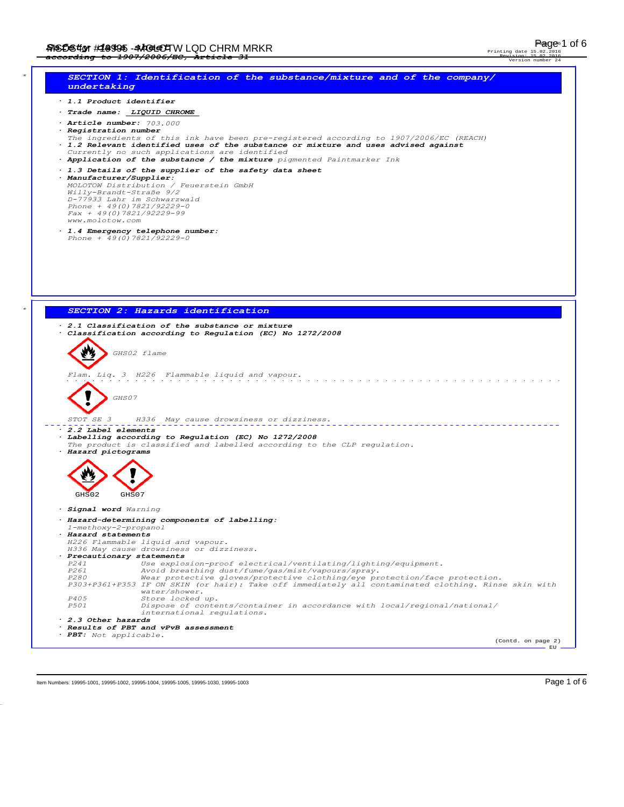Printing date 15.02.2016 Revision: 15.02.2016



Item Numbers: 19995-1001, 19995-1002, 19995-1004, 19995-1005, 19995-1003, 19995-1003 Page 1 of 6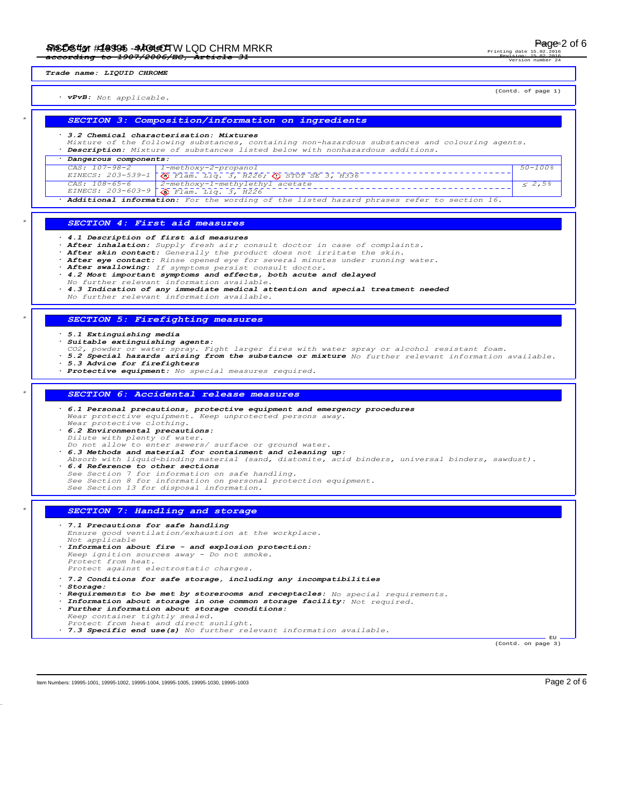#### *Trade name: LIQUID CHROME*

*· vPvB: Not applicable.*

#### *\* SECTION 3: Composition/information on ingredients*

#### *· 3.2 Chemical characterisation: Mixtures*

*Mixture of the following substances, containing non-hazardous substances and colouring agents. · Description: Mixture of substances listed below with nonhazardous additions.*

*· Dangerous components: CAS: 107-98-2 EINECS: 203-539-1 1-methoxy-2-propanol Flam. Liq. 3, H226; STOT SE 3, H336 50-100% CAS: 108-65-6 EINECS: 203-603-9 2-methoxy-1-methylethyl acetate Flam. Liq. 3, H226*  $\frac{1}{5}$  2,5%

*· Additional information: For the wording of the listed hazard phrases refer to section 16.*

### *\* SECTION 4: First aid measures*

*· 4.1 Description of first aid measures*

- After inhalation: *Supply fresh air; consult doctor in case of complaints.*<br>After skin contact: *Generally the product does not irritate the skin*.
- *· After skin contact: Generally the product does not irritate the skin.*
- *· After eye contact: Rinse opened eye for several minutes under running water.*
- *· After swallowing: If symptoms persist consult doctor. · 4.2 Most important symptoms and effects, both acute and delayed*
- *No further relevant information available.*
- *· 4.3 Indication of any immediate medical attention and special treatment needed*
- *No further relevant information available.*

### *\* SECTION 5: Firefighting measures*

#### *· 5.1 Extinguishing media*

- *· Suitable extinguishing agents:*
- *CO2, powder or water spray. Fight larger fires with water spray or alcohol resistant foam.*
- *· 5.2 Special hazards arising from the substance or mixture No further relevant information available. · 5.3 Advice for firefighters*
- 
- *· Protective equipment: No special measures required.*

#### *\* SECTION 6: Accidental release measures*

*· 6.1 Personal precautions, protective equipment and emergency procedures Wear protective equipment. Keep unprotected persons away. Wear protective clothing.*

*· 6.2 Environmental precautions:*

- 
- *Dilute with plenty of water.*<br> *Do not allow to enter sewers/ surface or ground water.*<br> *6.3 Methods and material for containment and cleaning up:*
- 
- *Absorb with liquid-binding material (sand, diatomite, acid binders, universal binders, sawdust).*
- *· 6.4 Reference to other sections See Section 7 for information on safe handling.*
- *See Section 8 for information on personal protection equipment. See Section 13 for disposal information.*
- 

### *\* SECTION 7: Handling and storage*

*· 7.1 Precautions for safe handling Ensure good ventilation/exhaustion at the workplace. Not applicable · Information about fire - and explosion protection: Keep ignition sources away - Do not smoke. Protect from heat. Protect against electrostatic charges. · 7.2 Conditions for safe storage, including any incompatibilities · Storage:*

*· Requirements to be met by storerooms and receptacles: No special requirements.*

- *· Information about storage in one common storage facility: Not required. · Further information about storage conditions:*
- *Keep container tightly sealed.*
- *Protect from heat and direct sunlight.*

*· 7.3 Specific end use(s) No further relevant information available.*

(Contd. on page 3)

Item Numbers: 19995-1001, 19995-1002, 19995-1004, 19995-1005, 19995-1003, 19995-1003

EU

Page 2 of 6

#### Printing date Revision: 15.02.2016 Version number 24

(Contd. of page 1)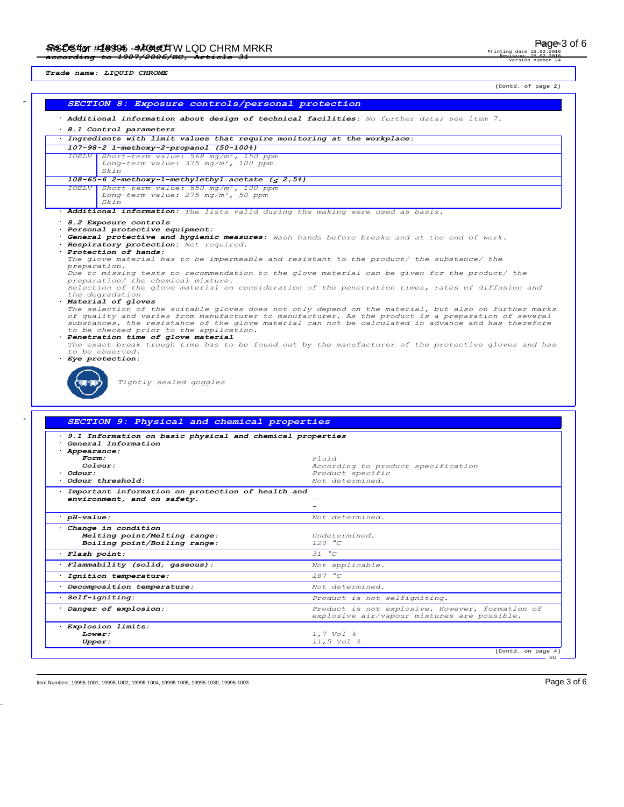*Trade name: LIQUID CHROME*

Revision: 15.02.2016

Printing date

usion:<br>Version

(Contd. of page 2)

|                        |                                                                                                                      | . Additional information about design of technical facilities: No further data; see item 7.          |
|------------------------|----------------------------------------------------------------------------------------------------------------------|------------------------------------------------------------------------------------------------------|
|                        | 8.1 Control parameters                                                                                               | Tngredients with limit values that require monitoring at the workplace:                              |
|                        | 107-98-2 1-methoxy-2-propanol (50-100%)                                                                              |                                                                                                      |
|                        | IOELV Short-term value: 568 mg/m <sup>3</sup> , 150 ppm                                                              |                                                                                                      |
|                        | Long-term value: 375 mg/m3, 100 ppm                                                                                  |                                                                                                      |
|                        | Skin                                                                                                                 |                                                                                                      |
|                        | $108-65-6$ 2-methoxy-1-methylethyl acetate ( $\leq$ 2,5%)<br>IOELV Short-term value: 550 mg/m <sup>3</sup> , 100 ppm |                                                                                                      |
|                        | Long-term value: 275 mg/m3, 50 ppm                                                                                   |                                                                                                      |
|                        | Skin                                                                                                                 |                                                                                                      |
|                        |                                                                                                                      | . Additional information: The lists valid during the making were used as basis.                      |
|                        | 8.2 Exposure controls<br>· Personal protective equipment:                                                            |                                                                                                      |
|                        |                                                                                                                      | . General protective and hygienic measures: Wash hands before breaks and at the end of work.         |
|                        | · Respiratory protection: Not required.                                                                              |                                                                                                      |
|                        | · Protection of hands:                                                                                               | The glove material has to be impermeable and resistant to the product/ the substance/ the            |
| preparation.           |                                                                                                                      |                                                                                                      |
|                        | preparation/ the chemical mixture.                                                                                   | Due to missing tests no recommendation to the glove material can be given for the product/ the       |
|                        |                                                                                                                      | Selection of the glove material on consideration of the penetration times, rates of diffusion and    |
|                        | the degradation                                                                                                      |                                                                                                      |
|                        | · Material of gloves                                                                                                 | The selection of the suitable gloves does not only depend on the material, but also on further marks |
|                        |                                                                                                                      | of quality and varies from manufacturer to manufacturer. As the product is a preparation of several  |
|                        |                                                                                                                      | substances, the resistance of the glove material can not be calculated in advance and has therefore  |
|                        | to be checked prior to the application.<br>· Penetration time of glove material                                      |                                                                                                      |
|                        |                                                                                                                      | The exact break trough time has to be found out by the manufacturer of the protective gloves and has |
|                        |                                                                                                                      |                                                                                                      |
|                        | to be observed.                                                                                                      |                                                                                                      |
|                        | · Eye protection:<br>Tightly sealed goggles                                                                          |                                                                                                      |
|                        |                                                                                                                      |                                                                                                      |
|                        | SECTION 9: Physical and chemical properties                                                                          |                                                                                                      |
|                        | 9.1 Information on basic physical and chemical properties                                                            |                                                                                                      |
|                        | General Information                                                                                                  |                                                                                                      |
| · Appearance:<br>Form: |                                                                                                                      | <i>Fluid</i>                                                                                         |
|                        | Colour:                                                                                                              | According to product specification                                                                   |
| · Odour:               |                                                                                                                      | Product specific                                                                                     |
|                        | Odour threshold:                                                                                                     | Not determined.                                                                                      |
|                        | · Important information on protection of health and                                                                  |                                                                                                      |
|                        | environment, and on safety.                                                                                          |                                                                                                      |
| $·$ $pH$ -value:       |                                                                                                                      | Not determined.                                                                                      |
|                        | Change in condition                                                                                                  |                                                                                                      |
|                        | Melting point/Melting range:                                                                                         | Undetermined.                                                                                        |
|                        | Boiling point/Boiling range:                                                                                         | 120 °C                                                                                               |
| · Flash point:         |                                                                                                                      | 31 °C                                                                                                |
|                        | · Flammability (solid, gaseous):                                                                                     | Not applicable.                                                                                      |
|                        | · Ignition temperature:                                                                                              | 287 °C                                                                                               |
|                        | · Decomposition temperature:                                                                                         | Not determined.                                                                                      |
|                        | · Self-igniting:                                                                                                     | Product is not selfigniting.                                                                         |
|                        | · Danger of explosion:                                                                                               | explosive air/vapour mixtures are possible.                                                          |
|                        | · Explosion limits:                                                                                                  |                                                                                                      |
| Lower:<br>Upper:       |                                                                                                                      | Product is not explosive. However, formation of<br>1,7 Vol %<br>11,5 Vol %                           |

Item Numbers: 19995-1001, 19995-1002, 19995-1004, 19995-1005, 19995-1003, 19995-1003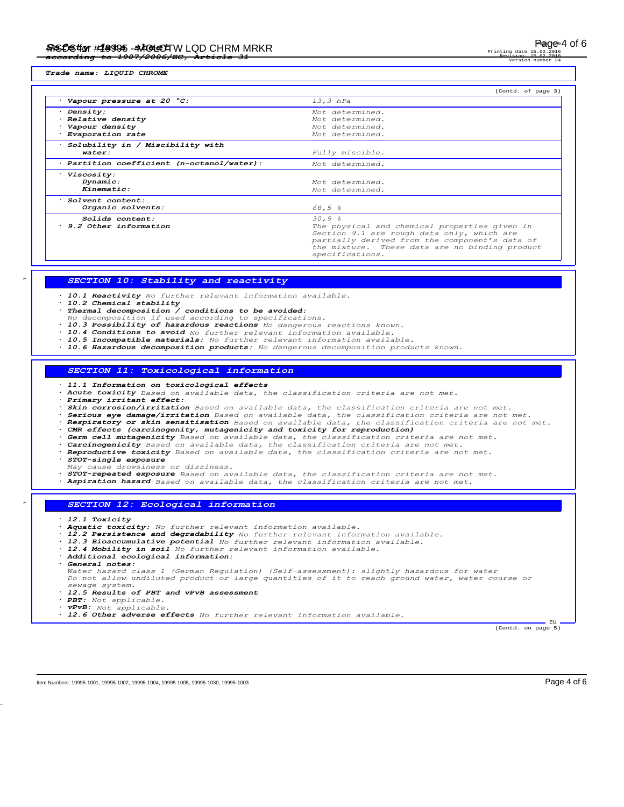Printing date Revision: 15.02.2016 Version number 24

*Trade name: LIQUID CHROME*

|                                                  | (Contd. of page 3)                             |
|--------------------------------------------------|------------------------------------------------|
| Vapour pressure at 20 °C:                        | $13,3$ hPa                                     |
| · Density:                                       | Not determined.                                |
| · Relative density                               | Not determined.                                |
| · Vapour density                                 | Not determined.                                |
| · Evaporation rate                               | Not determined.                                |
| · Solubility in / Miscibility with               |                                                |
| water:                                           | Fully miscible.                                |
| $\cdot$ Partition coefficient (n-octanol/water): | Not determined.                                |
| · Viscosity:                                     |                                                |
| Dynamic:                                         | Not determined.                                |
| Kinematic:                                       | Not determined.                                |
| · Solvent content:                               |                                                |
| Organic solvents:                                | 68,5%                                          |
| Solids content:                                  | 30,98                                          |
| 9.2 Other information                            | The physical and chemical properties given in  |
|                                                  | Section 9.1 are rough data only, which are     |
|                                                  | partially derived from the component's data of |
|                                                  | the mixture. These data are no binding product |
|                                                  | specifications.                                |

## *\* SECTION 10: Stability and reactivity*

- *· 10.1 Reactivity No further relevant information available.*
- *· 10.2 Chemical stability*
- *· Thermal decomposition / conditions to be avoided:*
- *No decomposition if used according to specifications.*
- *· 10.3 Possibility of hazardous reactions No dangerous reactions known.*
- *· 10.4 Conditions to avoid No further relevant information available. · 10.5 Incompatible materials: No further relevant information available.*
- *· 10.6 Hazardous decomposition products: No dangerous decomposition products known.*

## *SECTION 11: Toxicological information*

- *· 11.1 Information on toxicological effects*
- *· Acute toxicity Based on available data, the classification criteria are not met.*
- *· Primary irritant effect:*
- *· Skin corrosion/irritation Based on available data, the classification criteria are not met.*
- 
- · Serious eye damage/irritation Based on available data, the classification criteria are not met.<br>· Respiratory or skin sensitisation Based on available data, the classification criteria are not met. *· CMR effects (carcinogenity, mutagenicity and toxicity for reproduction)*
- 
- *· Germ cell mutagenicity Based on available data, the classification criteria are not met.*
- *· Carcinogenicity Based on available data, the classification criteria are not met. · Reproductive toxicity Based on available data, the classification criteria are not met.*
- *· STOT-single exposure*
- 
- *May cause drowsiness or dizziness. · STOT-repeated exposure Based on available data, the classification criteria are not met.*
- *· Aspiration hazard Based on available data, the classification criteria are not met.*

## *\* SECTION 12: Ecological information*

- *· 12.1 Toxicity*
- *· Aquatic toxicity: No further relevant information available.*
- *· 12.2 Persistence and degradability No further relevant information available.*
- *· 12.3 Bioaccumulative potential No further relevant information available. · 12.4 Mobility in soil No further relevant information available.*
- 
- *· Additional ecological information:*
- *· General notes:*

*Water hazard class 1 (German Regulation) (Self-assessment): slightly hazardous for water Do not allow undiluted product or large quantities of it to reach ground water, water course or sewage system.*

- *· 12.5 Results of PBT and vPvB assessment*
- *· PBT: Not applicable.*
- *· vPvB: Not applicable.*
- *· 12.6 Other adverse effects No further relevant information available.*

(Contd. on page 5)

Item Numbers: 19995-1001, 19995-1002, 19995-1004, 19995-1005, 19995-1003, 19995-1003

**EU**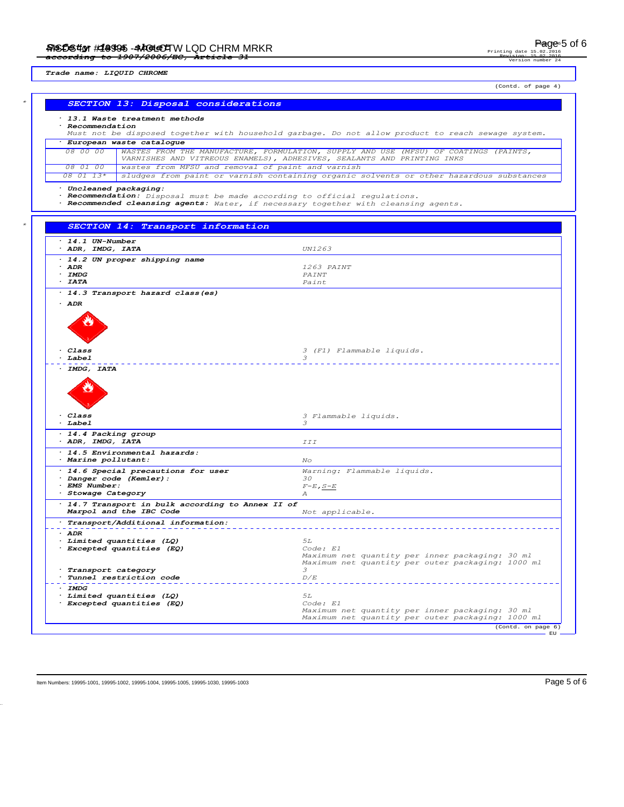Printing date Revision: 15.02.2016 Version number 24

*Trade name: LIQUID CHROME*

(Contd. of page 4)

# *\* SECTION 13: Disposal considerations · 13.1 Waste treatment methods · Recommendation Must not be disposed together with household garbage. Do not allow product to reach sewage system. · European waste catalogue 08 00 00 WASTES FROM THE MANUFACTURE, FORMULATION, SUPPLY AND USE (MFSU) OF COATINGS (PAINTS, VARNISHES AND VITREOUS ENAMELS), ADHESIVES, SEALANTS AND PRINTING INKS 08 01 00 wastes from MFSU and removal of paint and varnish 08 01 13\* sludges from paint or varnish containing organic solvents or other hazardous substances · Uncleaned packaging: · Recommendation: Disposal must be made according to official regulations. · Recommended cleansing agents: Water, if necessary together with cleansing agents. \* SECTION 14: Transport information · 14.1 UN-Number · ADR, IMDG, IATA UN1263 · 14.2 UN proper shipping name* **ADR** *<sup>1263 PAINT***<br>
<b>IMDG** *PAINT*</sup> *· IMDG PAINT · IATA Paint · 14.3 Transport hazard class(es) · ADR* ö *Class 3 (F1)* **Flammable liquids.**<br>*Babel* **<b>***3 · Label 3 · IMDG, IATA* Ö *· Class 3 Flammable liquids. · Label 3 · 14.4 Packing group · ADR, IMDG, IATA III · 14.5 Environmental hazards: · Marine pollutant: No · 14.6 Special precautions for user Warning: Flammable liquids. Danger code (Kemler):*  $30$ <br>*EMS Number:* $F-E, S-E$ *· EMS Number: F-E,S-E*  $\cdot$  *Stowage Category · 14.7 Transport in bulk according to Annex II of Marpol and the IBC Code Not applicable. · Transport/Additional information: · ADR <i>Excepted quantities (LQ)* 5L *5L Excepted quantities (EQ) Code: E1*  $<sup>1</sup>$ *Excepted quantities (EQ)*</sup> *Maximum net quantity per inner packaging: 30 ml Maximum net quantity per outer packaging: 1000 ml* **Transport category** 3<br> **Tunnel restriction code**  $D/E$  $Tunnel \ \ \textit{restriction} \ \ \textit{code}$ \_\_\_\_\_\_\_\_\_\_\_\_\_\_\_\_\_ *· IMDG · Limited quantities (LQ) 5L*  $<sup>2</sup>$ *Excepted quantities (EQ)*</sup> *Maximum net quantity per inner packaging: 30 ml Maximum net quantity per outer packaging: 1000 ml* (Contd. on page 6) **EU**